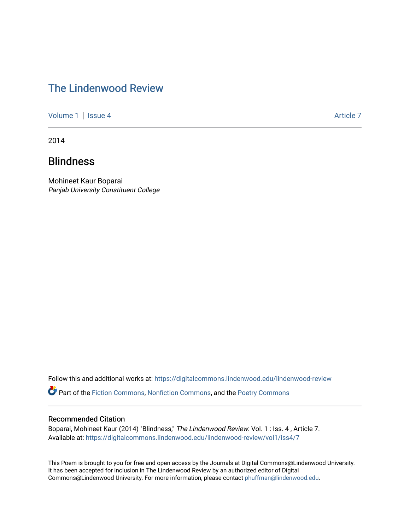## [The Lindenwood Review](https://digitalcommons.lindenwood.edu/lindenwood-review)

[Volume 1](https://digitalcommons.lindenwood.edu/lindenwood-review/vol1) | [Issue 4](https://digitalcommons.lindenwood.edu/lindenwood-review/vol1/iss4) Article 7

2014

## Blindness

Mohineet Kaur Boparai Panjab University Constituent College

Follow this and additional works at: [https://digitalcommons.lindenwood.edu/lindenwood-review](https://digitalcommons.lindenwood.edu/lindenwood-review?utm_source=digitalcommons.lindenwood.edu%2Flindenwood-review%2Fvol1%2Fiss4%2F7&utm_medium=PDF&utm_campaign=PDFCoverPages)

Part of the [Fiction Commons,](http://network.bepress.com/hgg/discipline/1151?utm_source=digitalcommons.lindenwood.edu%2Flindenwood-review%2Fvol1%2Fiss4%2F7&utm_medium=PDF&utm_campaign=PDFCoverPages) [Nonfiction Commons](http://network.bepress.com/hgg/discipline/1152?utm_source=digitalcommons.lindenwood.edu%2Flindenwood-review%2Fvol1%2Fiss4%2F7&utm_medium=PDF&utm_campaign=PDFCoverPages), and the [Poetry Commons](http://network.bepress.com/hgg/discipline/1153?utm_source=digitalcommons.lindenwood.edu%2Flindenwood-review%2Fvol1%2Fiss4%2F7&utm_medium=PDF&utm_campaign=PDFCoverPages)

## Recommended Citation

Boparai, Mohineet Kaur (2014) "Blindness," The Lindenwood Review: Vol. 1 : Iss. 4 , Article 7. Available at: [https://digitalcommons.lindenwood.edu/lindenwood-review/vol1/iss4/7](https://digitalcommons.lindenwood.edu/lindenwood-review/vol1/iss4/7?utm_source=digitalcommons.lindenwood.edu%2Flindenwood-review%2Fvol1%2Fiss4%2F7&utm_medium=PDF&utm_campaign=PDFCoverPages)

This Poem is brought to you for free and open access by the Journals at Digital Commons@Lindenwood University. It has been accepted for inclusion in The Lindenwood Review by an authorized editor of Digital Commons@Lindenwood University. For more information, please contact [phuffman@lindenwood.edu](mailto:phuffman@lindenwood.edu).